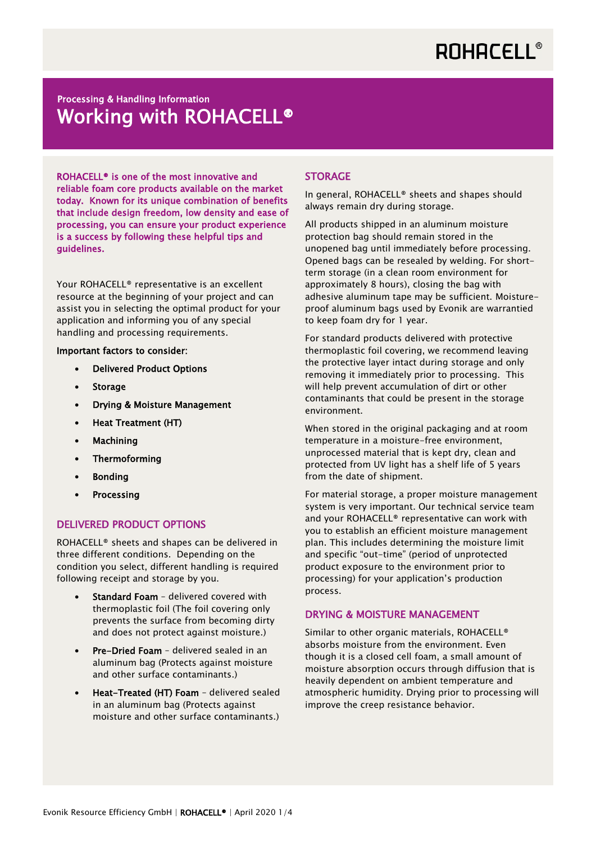# **ROHACELL®**

## Processing & Handling Information Working with ROHACELL®

ROHACELL® is one of the most innovative and reliable foam core products available on the market today. Known for its unique combination of benefits that include design freedom, low density and ease of processing, you can ensure your product experience is a success by following these helpful tips and guidelines.

Your ROHACELL® representative is an excellent resource at the beginning of your project and can assist you in selecting the optimal product for your application and informing you of any special handling and processing requirements.

#### Important factors to consider:

- Delivered Product Options
- Storage
- Drying & Moisture Management
- Heat Treatment (HT)
- Machining
- Thermoforming
- Bonding
- **Processing**

#### DELIVERED PRODUCT OPTIONS

ROHACELL® sheets and shapes can be delivered in three different conditions. Depending on the condition you select, different handling is required following receipt and storage by you.

- Standard Foam delivered covered with thermoplastic foil (The foil covering only prevents the surface from becoming dirty and does not protect against moisture.)
- Pre-Dried Foam delivered sealed in an aluminum bag (Protects against moisture and other surface contaminants.)
- Heat-Treated (HT) Foam delivered sealed in an aluminum bag (Protects against moisture and other surface contaminants.)

#### **STORAGE**

In general, ROHACELL® sheets and shapes should always remain dry during storage.

All products shipped in an aluminum moisture protection bag should remain stored in the unopened bag until immediately before processing. Opened bags can be resealed by welding. For shortterm storage (in a clean room environment for approximately 8 hours), closing the bag with adhesive aluminum tape may be sufficient. Moistureproof aluminum bags used by Evonik are warrantied to keep foam dry for 1 year.

For standard products delivered with protective thermoplastic foil covering, we recommend leaving the protective layer intact during storage and only removing it immediately prior to processing. This will help prevent accumulation of dirt or other contaminants that could be present in the storage environment.

When stored in the original packaging and at room temperature in a moisture-free environment, unprocessed material that is kept dry, clean and protected from UV light has a shelf life of 5 years from the date of shipment.

For material storage, a proper moisture management system is very important. Our technical service team and your ROHACELL® representative can work with you to establish an efficient moisture management plan. This includes determining the moisture limit and specific "out-time" (period of unprotected product exposure to the environment prior to processing) for your application's production process.

#### DRYING & MOISTURE MANAGEMENT

Similar to other organic materials, ROHACELL® absorbs moisture from the environment. Even though it is a closed cell foam, a small amount of moisture absorption occurs through diffusion that is heavily dependent on ambient temperature and atmospheric humidity. Drying prior to processing will improve the creep resistance behavior.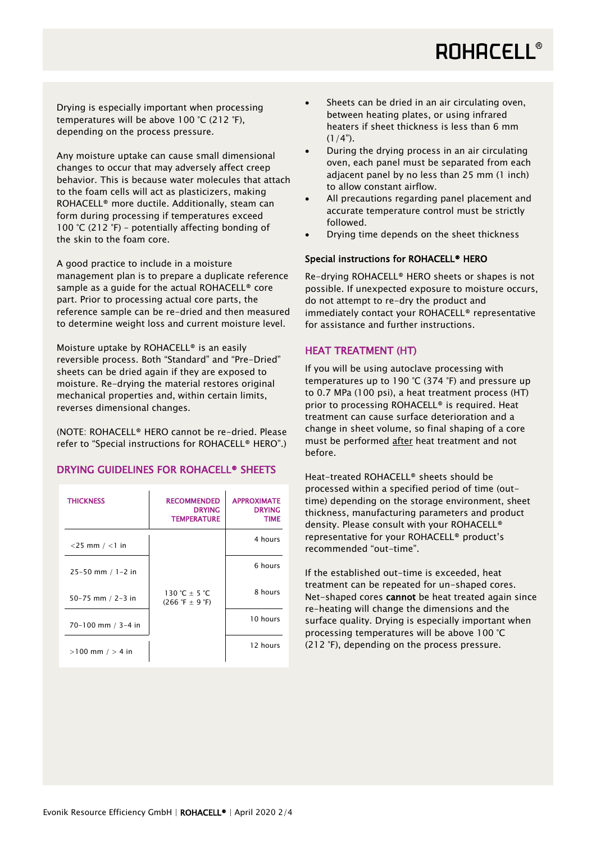# **ROHACELL®**

Drying is especially important when processing temperatures will be above 100 °C (212 °F), depending on the process pressure.

Any moisture uptake can cause small dimensional changes to occur that may adversely affect creep behavior. This is because water molecules that attach to the foam cells will act as plasticizers, making ROHACELL® more ductile. Additionally, steam can form during processing if temperatures exceed 100 °C (212 °F) – potentially affecting bonding of the skin to the foam core.

A good practice to include in a moisture management plan is to prepare a duplicate reference sample as a guide for the actual ROHACELL® core part. Prior to processing actual core parts, the reference sample can be re-dried and then measured to determine weight loss and current moisture level.

Moisture uptake by ROHACELL® is an easily reversible process. Both "Standard" and "Pre-Dried" sheets can be dried again if they are exposed to moisture. Re-drying the material restores original mechanical properties and, within certain limits, reverses dimensional changes.

(NOTE: ROHACELL® HERO cannot be re-dried. Please refer to "Special instructions for ROHACELL® HERO".)

#### DRYING GUIDELINES FOR ROHACELL® SHEETS

| <b>THICKNESS</b>      | <b>RECOMMENDED</b><br><b>DRYING</b><br><b>TEMPERATURE</b> | <b>APPROXIMATE</b><br><b>DRYING</b><br><b>TIME</b> |
|-----------------------|-----------------------------------------------------------|----------------------------------------------------|
| $<$ 25 mm / $<$ 1 in  |                                                           | 4 hours                                            |
| $25 - 50$ mm / 1-2 in |                                                           | 6 hours                                            |
| 50-75 mm / 2-3 in     | 130 °C + 5 °C<br>$(266 \degree F \pm 9 \degree F)$        | 8 hours                                            |
| 70-100 mm / 3-4 in    |                                                           | 10 hours                                           |
| $>100$ mm $/ > 4$ in  |                                                           | 12 hours                                           |

- Sheets can be dried in an air circulating oven, between heating plates, or using infrared heaters if sheet thickness is less than 6 mm  $(1/4")$ .
- During the drying process in an air circulating oven, each panel must be separated from each adjacent panel by no less than 25 mm (1 inch) to allow constant airflow.
- All precautions regarding panel placement and accurate temperature control must be strictly followed.
- Drying time depends on the sheet thickness

#### Special instructions for ROHACELL® HERO

Re-drying ROHACELL® HERO sheets or shapes is not possible. If unexpected exposure to moisture occurs, do not attempt to re-dry the product and immediately contact your ROHACELL® representative for assistance and further instructions.

#### HEAT TREATMENT (HT)

If you will be using autoclave processing with temperatures up to 190 °C (374 °F) and pressure up to 0.7 MPa (100 psi), a heat treatment process (HT) prior to processing ROHACELL® is required. Heat treatment can cause surface deterioration and a change in sheet volume, so final shaping of a core must be performed after heat treatment and not before.

Heat-treated ROHACELL® sheets should be processed within a specified period of time (outtime) depending on the storage environment, sheet thickness, manufacturing parameters and product density. Please consult with your ROHACELL® representative for your ROHACELL® product's recommended "out-time".

If the established out-time is exceeded, heat treatment can be repeated for un-shaped cores. Net-shaped cores cannot be heat treated again since re-heating will change the dimensions and the surface quality. Drying is especially important when processing temperatures will be above 100 °C (212 °F), depending on the process pressure.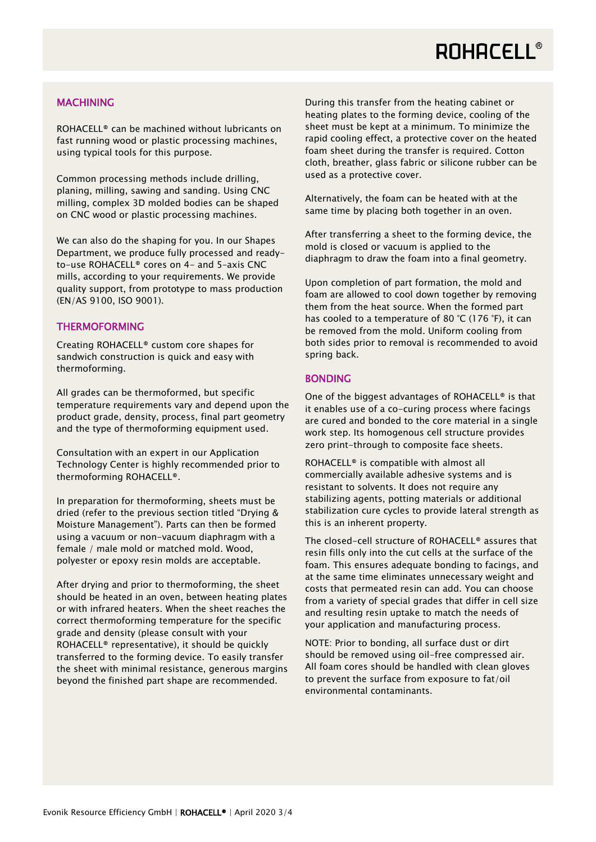### **MACHINING**

ROHACELL® can be machined without lubricants on fast running wood or plastic processing machines, using typical tools for this purpose.

Common processing methods include drilling, planing, milling, sawing and sanding. Using CNC milling, complex 3D molded bodies can be shaped on CNC wood or plastic processing machines.

We can also do the shaping for you. In our Shapes Department, we produce fully processed and readyto-use ROHACELL® cores on 4- and 5–axis CNC mills, according to your requirements. We provide quality support, from prototype to mass production (EN/AS 9100, ISO 9001).

### **THERMOFORMING**

Creating ROHACELL® custom core shapes for sandwich construction is quick and easy with thermoforming.

All grades can be thermoformed, but specific temperature requirements vary and depend upon the product grade, density, process, final part geometry and the type of thermoforming equipment used.

Consultation with an expert in our Application Technology Center is highly recommended prior to thermoforming ROHACELL®.

In preparation for thermoforming, sheets must be dried (refer to the previous section titled "Drying & Moisture Management"). Parts can then be formed using a vacuum or non-vacuum diaphragm with a female / male mold or matched mold. Wood, polyester or epoxy resin molds are acceptable.

After drying and prior to thermoforming, the sheet should be heated in an oven, between heating plates or with infrared heaters. When the sheet reaches the correct thermoforming temperature for the specific grade and density (please consult with your ROHACELL® representative), it should be quickly transferred to the forming device. To easily transfer the sheet with minimal resistance, generous margins beyond the finished part shape are recommended.

During this transfer from the heating cabinet or heating plates to the forming device, cooling of the sheet must be kept at a minimum. To minimize the rapid cooling effect, a protective cover on the heated foam sheet during the transfer is required. Cotton cloth, breather, glass fabric or silicone rubber can be used as a protective cover.

Alternatively, the foam can be heated with at the same time by placing both together in an oven.

After transferring a sheet to the forming device, the mold is closed or vacuum is applied to the diaphragm to draw the foam into a final geometry.

Upon completion of part formation, the mold and foam are allowed to cool down together by removing them from the heat source. When the formed part has cooled to a temperature of 80 °C (176 °F), it can be removed from the mold. Uniform cooling from both sides prior to removal is recommended to avoid spring back.

### BONDING

One of the biggest advantages of ROHACELL® is that it enables use of a co-curing process where facings are cured and bonded to the core material in a single work step. Its homogenous cell structure provides zero print-through to composite face sheets.

ROHACELL® is compatible with almost all commercially available adhesive systems and is resistant to solvents. It does not require any stabilizing agents, potting materials or additional stabilization cure cycles to provide lateral strength as this is an inherent property.

The closed-cell structure of ROHACELL® assures that resin fills only into the cut cells at the surface of the foam. This ensures adequate bonding to facings, and at the same time eliminates unnecessary weight and costs that permeated resin can add. You can choose from a variety of special grades that differ in cell size and resulting resin uptake to match the needs of your application and manufacturing process.

NOTE: Prior to bonding, all surface dust or dirt should be removed using oil-free compressed air. All foam cores should be handled with clean gloves to prevent the surface from exposure to fat/oil environmental contaminants.